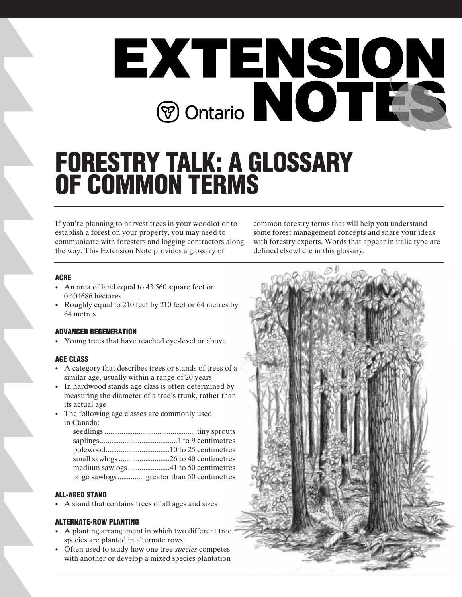

# **FORESTRY TALK: A GLOSSARY OF COMMON TERMS**

If you're planning to harvest trees in your woodlot or to establish a forest on your property, you may need to communicate with foresters and logging contractors along the way. This Extension Note provides a glossary of

common forestry terms that will help you understand some forest management concepts and share your ideas with forestry experts. Words that appear in italic type are defined elsewhere in this glossary.

# **ACRE**

- An area of land equal to 43,560 square feet or 0.404686 hectares
- Roughly equal to 210 feet by 210 feet or 64 metres by 64 metres

#### **ADVANCED REGENERATION**

• Young trees that have reached eye-level or above

#### **AGE CLASS**

- A category that describes trees or stands of trees of a similar age, usually within a range of 20 years
- In hardwood stands age class is often determined by measuring the diameter of a tree's trunk, rather than its actual age
- The following age classes are commonly used in Canada:

| large sawlogsgreater than 50 centimetres |
|------------------------------------------|

#### **ALL-AGED STAND**

• A stand that contains trees of all ages and sizes

#### **ALTERNATE-ROW PLANTING**

- A planting arrangement in which two different tree species are planted in alternate rows
- Often used to study how one tree *species* competes with another or develop a mixed species plantation

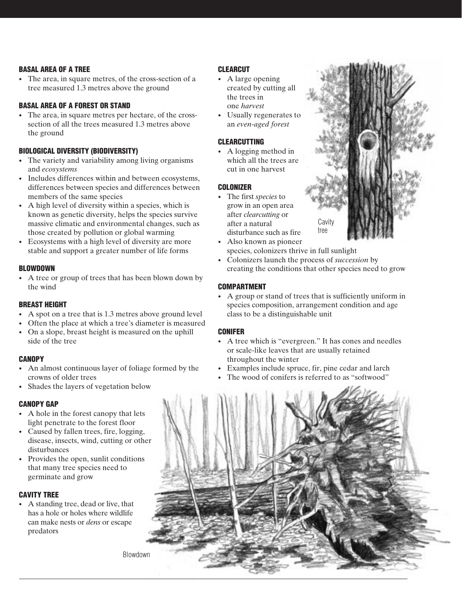#### **BASAL AREA OF A TREE**

• The area, in square metres, of the cross-section of a tree measured 1.3 metres above the ground

# **BASAL AREA OF A FOREST OR STAND**

• The area, in square metres per hectare, of the crosssection of all the trees measured 1.3 metres above the ground

# **BIOLOGICAL DIVERSITY (BIODIVERSITY)**

- The variety and variability among living organisms and *ecosystems*
- Includes differences within and between ecosystems, differences between species and differences between members of the same species
- A high level of diversity within a species, which is known as genetic diversity, helps the species survive massive climatic and environmental changes, such as those created by pollution or global warming
- Ecosystems with a high level of diversity are more stable and support a greater number of life forms

#### **BLOWDOWN**

• A tree or group of trees that has been blown down by the wind

#### **BREAST HEIGHT**

- A spot on a tree that is 1.3 metres above ground level
- Often the place at which a tree's diameter is measured
- On a slope, breast height is measured on the uphill side of the tree

#### **CANOPY**

- An almost continuous layer of foliage formed by the crowns of older trees
- Shades the layers of vegetation below

# **CANOPY GAP**

- A hole in the forest canopy that lets light penetrate to the forest floor
- Caused by fallen trees, fire, logging, disease, insects, wind, cutting or other disturbances
- Provides the open, sunlit conditions that many tree species need to germinate and grow

# **CAVITY TREE**

• A standing tree, dead or live, that has a hole or holes where wildlife can make nests or *dens* or escape predators

# **CLEARCUT**

- A large opening created by cutting all the trees in one *harvest*
- Usually regenerates to an *even-aged forest*

#### **CLEARCUTTING**

• A logging method in which all the trees are cut in one harvest

# **COLONIZER**

- The first *species* to grow in an open area after *clearcutting* or after a natural disturbance such as fire
- Also known as pioneer species, colonizers thrive in full sunlight
- Colonizers launch the process of *succession* by creating the conditions that other species need to grow

Cavity tree

# **COMPARTMENT**

• A group or stand of trees that is sufficiently uniform in species composition, arrangement condition and age class to be a distinguishable unit

#### **CONIFER**

- A tree which is "evergreen." It has cones and needles or scale-like leaves that are usually retained throughout the winter
- Examples include spruce, fir, pine cedar and larch
- The wood of conifers is referred to as "softwood"



Blowdown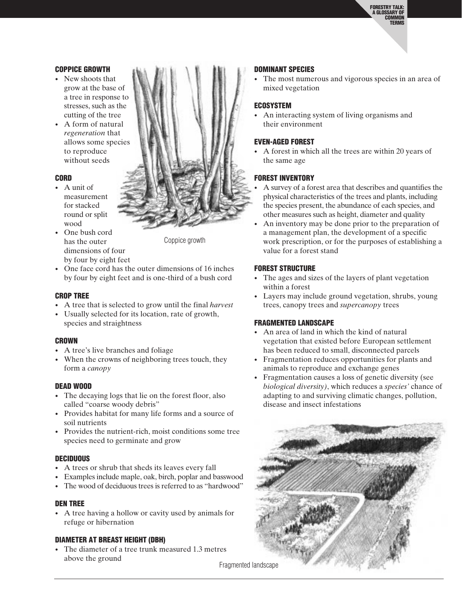**FORESTRY TALK: A GLOSSARY OF COMMON TERMS**

#### **COPPICE GROWTH**

- New shoots that grow at the base of a tree in response to stresses, such as the cutting of the tree
- A form of natural *regeneration* that allows some species to reproduce without seeds

#### **CORD**

- A unit of measurement for stacked round or split wood
- One bush cord has the outer dimensions of four by four by eight feet

Coppice growth

• One face cord has the outer dimensions of 16 inches by four by eight feet and is one-third of a bush cord

#### **CROP TREE**

- A tree that is selected to grow until the final *harvest*
- Usually selected for its location, rate of growth, species and straightness

#### **CROWN**

- A tree's live branches and foliage
- When the crowns of neighboring trees touch, they form a *canopy*

#### **DEAD WOOD**

- The decaying logs that lie on the forest floor, also called "coarse woody debris"
- Provides habitat for many life forms and a source of soil nutrients
- Provides the nutrient-rich, moist conditions some tree species need to germinate and grow

#### **DECIDUOUS**

- A trees or shrub that sheds its leaves every fall
- Examples include maple, oak, birch, poplar and basswood
- The wood of deciduous trees is referred to as "hardwood"

#### **DEN TREE**

• A tree having a hollow or cavity used by animals for refuge or hibernation

#### **DIAMETER AT BREAST HEIGHT (DBH)**

• The diameter of a tree trunk measured 1.3 metres above the ground

#### **DOMINANT SPECIES**

The most numerous and vigorous species in an area of mixed vegetation

#### **ECOSYSTEM**

• An interacting system of living organisms and their environment

#### **EVEN-AGED FOREST**

• A forest in which all the trees are within 20 years of the same age

#### **FOREST INVENTORY**

- A survey of a forest area that describes and quantifies the physical characteristics of the trees and plants, including the species present, the abundance of each species, and other measures such as height, diameter and quality
- An inventory may be done prior to the preparation of a management plan, the development of a specific work prescription, or for the purposes of establishing a value for a forest stand

#### **FOREST STRUCTURE**

- The ages and sizes of the layers of plant vegetation within a forest
- Layers may include ground vegetation, shrubs, young trees, canopy trees and *supercanopy* trees

#### **FRAGMENTED LANDSCAPE**

- An area of land in which the kind of natural vegetation that existed before European settlement has been reduced to small, disconnected parcels
- Fragmentation reduces opportunities for plants and animals to reproduce and exchange genes
- Fragmentation causes a loss of genetic diversity (see *biological diversity)*, which reduces a *species'* chance of adapting to and surviving climatic changes, pollution, disease and insect infestations





Fragmented landscape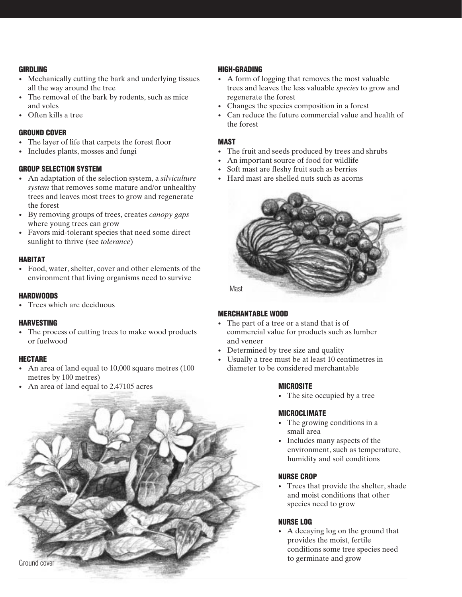#### **GIRDLING**

- Mechanically cutting the bark and underlying tissues all the way around the tree
- The removal of the bark by rodents, such as mice and voles
- Often kills a tree

# **GROUND COVER**

- The layer of life that carpets the forest floor
- Includes plants, mosses and fungi

# **GROUP SELECTION SYSTEM**

- An adaptation of the selection system, a *silviculture system* that removes some mature and/or unhealthy trees and leaves most trees to grow and regenerate the forest
- By removing groups of trees, creates *canopy gaps* where young trees can grow
- Favors mid-tolerant species that need some direct sunlight to thrive (see *tolerance*)

# **HABITAT**

• Food, water, shelter, cover and other elements of the environment that living organisms need to survive

# **HARDWOODS**

• Trees which are deciduous

# **HARVESTING**

• The process of cutting trees to make wood products or fuelwood

# **HECTARE**

- An area of land equal to 10,000 square metres (100) metres by 100 metres)
- An area of land equal to 2.47105 acres



# **HIGH-GRADING**

- A form of logging that removes the most valuable trees and leaves the less valuable *species* to grow and regenerate the forest
- Changes the species composition in a forest
- Can reduce the future commercial value and health of the forest

# **MAST**

- The fruit and seeds produced by trees and shrubs
- An important source of food for wildlife
- Soft mast are fleshy fruit such as berries
- Hard mast are shelled nuts such as acorns



# **MERCHANTABLE WOOD**

- The part of a tree or a stand that is of commercial value for products such as lumber and veneer
- Determined by tree size and quality
- Usually a tree must be at least 10 centimetres in diameter to be considered merchantable

# **MICROSITE**

• The site occupied by a tree

# **MICROCLIMATE**

- The growing conditions in a small area
- Includes many aspects of the environment, such as temperature, humidity and soil conditions

# **NURSE CROP**

Trees that provide the shelter, shade and moist conditions that other species need to grow

# **NURSE LOG**

• A decaying log on the ground that provides the moist, fertile conditions some tree species need to germinate and grow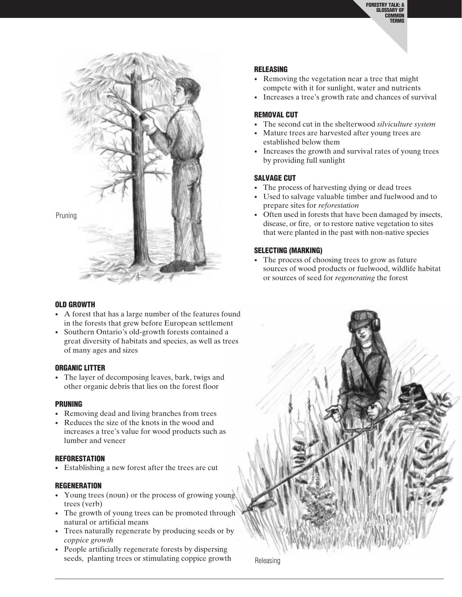

#### **OLD GROWTH**

- A forest that has a large number of the features found in the forests that grew before European settlement
- Southern Ontario's old-growth forests contained a great diversity of habitats and species, as well as trees of many ages and sizes

#### **ORGANIC LITTER**

• The layer of decomposing leaves, bark, twigs and other organic debris that lies on the forest floor

#### **PRUNING**

- Removing dead and living branches from trees
- Reduces the size of the knots in the wood and increases a tree's value for wood products such as lumber and veneer

#### **REFORESTATION**

• Establishing a new forest after the trees are cut

#### **REGENERATION**

- Young trees (noun) or the process of growing young trees (verb)
- The growth of young trees can be promoted through natural or artificial means
- Trees naturally regenerate by producing seeds or by *coppice growth*
- People artificially regenerate forests by dispersing seeds, planting trees or stimulating coppice growth

#### **RELEASING**

- Removing the vegetation near a tree that might compete with it for sunlight, water and nutrients
- Increases a tree's growth rate and chances of survival

#### **REMOVAL CUT**

- The second cut in the shelterwood *silviculture system*
- Mature trees are harvested after young trees are established below them
- Increases the growth and survival rates of young trees by providing full sunlight

#### **SALVAGE CUT**

- The process of harvesting dying or dead trees
- Used to salvage valuable timber and fuelwood and to prepare sites for *reforestation*
- Often used in forests that have been damaged by insects, disease, or fire, or to restore native vegetation to sites that were planted in the past with non-native species

#### **SELECTING (MARKING)**

• The process of choosing trees to grow as future sources of wood products or fuelwood, wildlife habitat or sources of seed for *regenerating* the forest



Releasing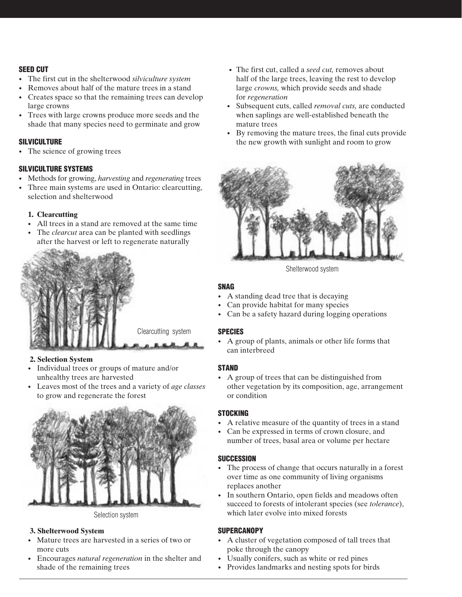# **SEED CUT**

- The first cut in the shelterwood *silviculture system*
- Removes about half of the mature trees in a stand
- Creates space so that the remaining trees can develop large crowns
- Trees with large crowns produce more seeds and the shade that many species need to germinate and grow

# **SILVICULTURE**

• The science of growing trees

#### **SILVICULTURE SYSTEMS**

- Methods for growing, *harvesting* and *regenerating* trees
- Three main systems are used in Ontario: clearcutting, selection and shelterwood

#### **1. Clearcutting**

- All trees in a stand are removed at the same time
- The *clearcut* area can be planted with seedlings after the harvest or left to regenerate naturally



#### **2. Selection System**

- Individual trees or groups of mature and/or unhealthy trees are harvested
- Leaves most of the trees and a variety of *age classes* to grow and regenerate the forest



Selection system

#### **3. Shelterwood System**

- Mature trees are harvested in a series of two or more cuts
- Encourages *natural regeneration* in the shelter and shade of the remaining trees
- The first cut, called a *seed cut,* removes about half of the large trees, leaving the rest to develop large *crowns,* which provide seeds and shade for *regeneration*
- Subsequent cuts, called *removal cuts,* are conducted when saplings are well-established beneath the mature trees
- By removing the mature trees, the final cuts provide the new growth with sunlight and room to grow



Shelterwood system

#### **SNAG**

- A standing dead tree that is decaying
- Can provide habitat for many species
- Can be a safety hazard during logging operations

#### **SPECIES**

• A group of plants, animals or other life forms that can interbreed

#### **STAND**

• A group of trees that can be distinguished from other vegetation by its composition, age, arrangement or condition

#### **STOCKING**

- A relative measure of the quantity of trees in a stand
- Can be expressed in terms of crown closure, and number of trees, basal area or volume per hectare

# **SUCCESSION**

- The process of change that occurs naturally in a forest over time as one community of living organisms replaces another
- In southern Ontario, open fields and meadows often succeed to forests of intolerant species (see *tolerance*), which later evolve into mixed forests

# **SUPERCANOPY**

- A cluster of vegetation composed of tall trees that poke through the canopy
- Usually conifers, such as white or red pines
- Provides landmarks and nesting spots for birds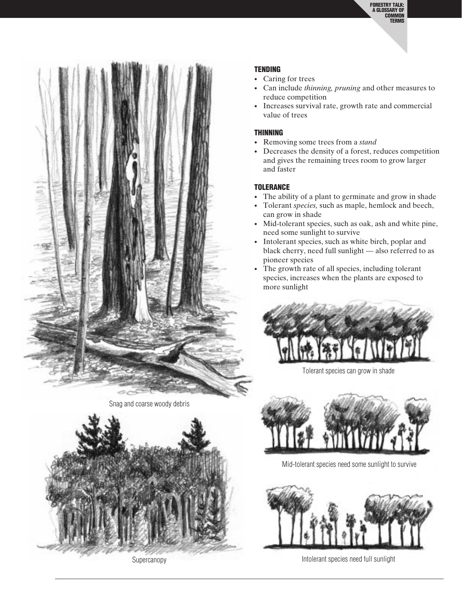

Snag and coarse woody debris



**Supercanopy** 

#### **TENDING**

- Caring for trees
- Can include *thinning, pruning* and other measures to reduce competition
- Increases survival rate, growth rate and commercial value of trees

#### **THINNING**

- Removing some trees from a *stand*
- Decreases the density of a forest, reduces competition and gives the remaining trees room to grow larger and faster

#### **TOLERANCE**

- The ability of a plant to germinate and grow in shade
- Tolerant *species,* such as maple, hemlock and beech, can grow in shade
- Mid-tolerant species, such as oak, ash and white pine, need some sunlight to survive
- Intolerant species, such as white birch, poplar and black cherry, need full sunlight — also referred to as pioneer species
- The growth rate of all species, including tolerant species, increases when the plants are exposed to more sunlight



Tolerant species can grow in shade



Mid-tolerant species need some sunlight to survive



Intolerant species need full sunlight